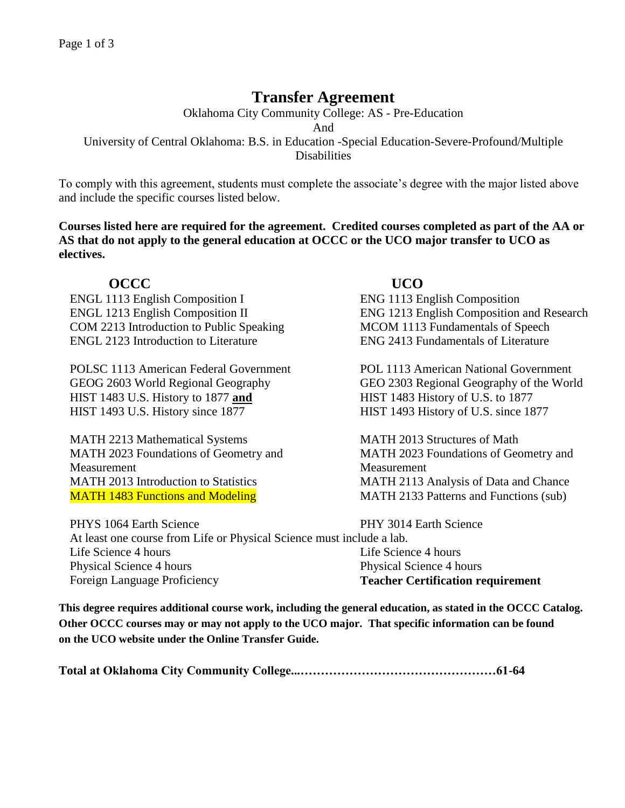# **Transfer Agreement**

Oklahoma City Community College: AS - Pre-Education

And

University of Central Oklahoma: B.S. in Education -Special Education-Severe-Profound/Multiple **Disabilities** 

To comply with this agreement, students must complete the associate's degree with the major listed above and include the specific courses listed below.

**Courses listed here are required for the agreement. Credited courses completed as part of the AA or AS that do not apply to the general education at OCCC or the UCO major transfer to UCO as electives.**

# **OCCC UCO**

ENGL 1113 English Composition I ENG 1113 English Composition COM 2213 Introduction to Public Speaking MCOM 1113 Fundamentals of Speech ENGL 2123 Introduction to Literature ENG 2413 Fundamentals of Literature

POLSC 1113 American Federal Government POL 1113 American National Government HIST 1483 U.S. History to 1877 **and** HIST 1483 History of U.S. to 1877 HIST 1493 U.S. History since 1877 HIST 1493 History of U.S. since 1877

MATH 2213 Mathematical Systems MATH 2013 Structures of Math MATH 2023 Foundations of Geometry and Measurement MATH 1483 Functions and Modeling MATH 2133 Patterns and Functions (sub)

ENGL 1213 English Composition II ENG 1213 English Composition and Research

GEOG 2603 World Regional Geography GEO 2303 Regional Geography of the World

MATH 2023 Foundations of Geometry and Measurement MATH 2013 Introduction to Statistics MATH 2113 Analysis of Data and Chance

PHYS 1064 Earth Science **PHY 3014 Earth Science** At least one course from Life or Physical Science must include a lab. Life Science 4 hours Life Science 4 hours Life Science 4 hours Physical Science 4 hours Physical Science 4 hours Foreign Language Proficiency **Teacher Certification requirement**

**This degree requires additional course work, including the general education, as stated in the OCCC Catalog. Other OCCC courses may or may not apply to the UCO major. That specific information can be found on the UCO website under the Online Transfer Guide.**

**Total at Oklahoma City Community College...…………………………………………61-64**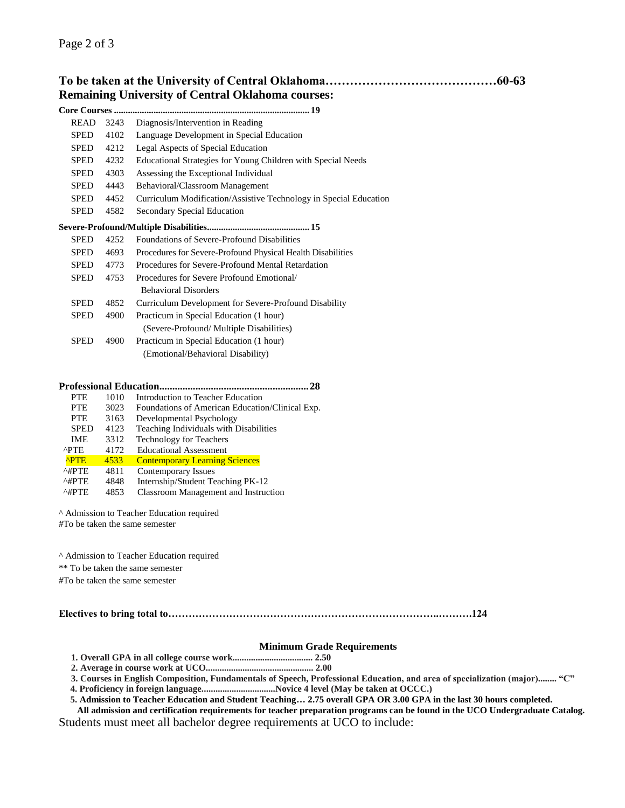# **To be taken at the University of Central Oklahoma……………………………………60-63 Remaining University of Central Oklahoma courses:**

|             |      | . 19                                                              |
|-------------|------|-------------------------------------------------------------------|
| <b>READ</b> | 3243 | Diagnosis/Intervention in Reading                                 |
| <b>SPED</b> | 4102 | Language Development in Special Education                         |
| <b>SPED</b> | 4212 | Legal Aspects of Special Education                                |
| <b>SPED</b> | 4232 | Educational Strategies for Young Children with Special Needs      |
| <b>SPED</b> | 4303 | Assessing the Exceptional Individual                              |
| SPED        | 4443 | Behavioral/Classroom Management                                   |
| <b>SPED</b> | 4452 | Curriculum Modification/Assistive Technology in Special Education |
| SPED        | 4582 | Secondary Special Education                                       |
|             |      |                                                                   |
| <b>SPED</b> | 4252 | Foundations of Severe-Profound Disabilities                       |
| <b>SPED</b> | 4693 | Procedures for Severe-Profound Physical Health Disabilities       |
| <b>SPED</b> | 4773 | Procedures for Severe-Profound Mental Retardation                 |
| <b>SPED</b> | 4753 | Procedures for Severe Profound Emotional/                         |
|             |      | <b>Behavioral Disorders</b>                                       |
| <b>SPED</b> | 4852 | Curriculum Development for Severe-Profound Disability             |
| <b>SPED</b> | 4900 | Practicum in Special Education (1 hour)                           |
|             |      | (Severe-Profound/ Multiple Disabilities)                          |
| <b>SPED</b> | 4900 | Practicum in Special Education (1 hour)                           |
|             |      | (Emotional/Behavioral Disability)                                 |

## **Professional Education..........................................................28**

| <b>PTE</b>             | 1010 | Introduction to Teacher Education               |
|------------------------|------|-------------------------------------------------|
| <b>PTE</b>             | 3023 | Foundations of American Education/Clinical Exp. |
| <b>PTE</b>             | 3163 | Developmental Psychology                        |
| <b>SPED</b>            | 4123 | Teaching Individuals with Disabilities          |
| <b>IME</b>             | 3312 | Technology for Teachers                         |
| ^PTE                   | 4172 | <b>Educational Assessment</b>                   |
| <b>APTE</b>            | 4533 | <b>Contemporary Learning Sciences</b>           |
| $^{\wedge\text{HPTE}}$ | 4811 | <b>Contemporary Issues</b>                      |
| $^{\wedge\text{HPTE}}$ | 4848 | Internship/Student Teaching PK-12               |
| $^{\wedge\#PTE}$       | 4853 | Classroom Management and Instruction            |

^ Admission to Teacher Education required

#To be taken the same semester

^ Admission to Teacher Education required

\*\* To be taken the same semester

#To be taken the same semester

## **Electives to bring total to……………………………………………………………………..……….124**

## **Minimum Grade Requirements**

**1. Overall GPA in all college course work................................... 2.50** 

**2. Average in course work at UCO............................................... 2.00**

**3. Courses in English Composition, Fundamentals of Speech, Professional Education, and area of specialization (major)........ "C"** 

 **4. Proficiency in foreign language................................Novice 4 level (May be taken at OCCC.)**

 **5. Admission to Teacher Education and Student Teaching… 2.75 overall GPA OR 3.00 GPA in the last 30 hours completed.**

**All admission and certification requirements for teacher preparation programs can be found in the UCO Undergraduate Catalog.**  Students must meet all bachelor degree requirements at UCO to include: